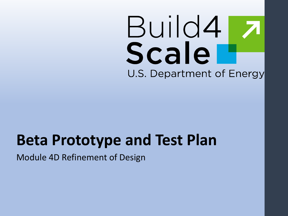# Build4 Scale U.S. Department of Energy

### **Beta Prototype and Test Plan**

Module 4D Refinement of Design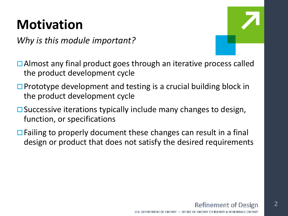### **Motivation**

*Why is this module important?*



- **□** Almost any final product goes through an iterative process called the product development cycle
- $\Box$  Prototype development and testing is a crucial building block in the product development cycle
- $\square$  Successive iterations typically include many changes to design, function, or specifications
- $\Box$  Failing to properly document these changes can result in a final design or product that does not satisfy the desired requirements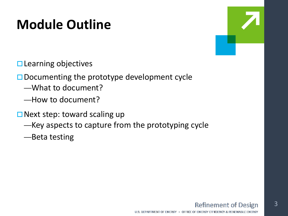### **Module Outline**

 $\square$  Learning objectives

 $\square$  Documenting the prototype development cycle

- —What to document?
- —How to document?
- $\Box$  Next step: toward scaling up
	- —Key aspects to capture from the prototyping cycle
	- —Beta testing

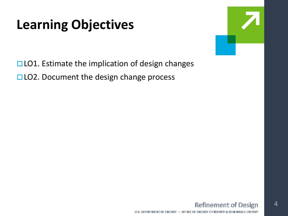### **Learning Objectives**



 $\Box$  LO1. Estimate the implication of design changes  $\Box$  LO2. Document the design change process

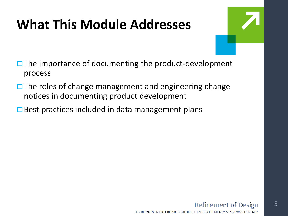### **What This Module Addresses**



- $\Box$  The importance of documenting the product-development process
- $\Box$  The roles of change management and engineering change notices in documenting product development
- $\square$  Best practices included in data management plans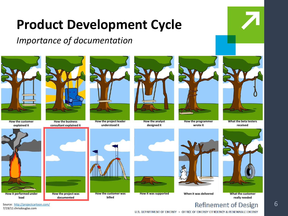*Importance of documentation*





**How the programmer wrote it**



**What the beta testers received**



**really needed**



Source: <http://projectcartoon.com/> 7/19/11 chrisdouglas.com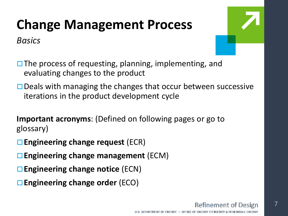### **Change Management Process**

*Basics*



 $\Box$  The process of requesting, planning, implementing, and evaluating changes to the product

 $\Box$  Deals with managing the changes that occur between successive iterations in the product development cycle

**Important acronyms**: (Defined on following pages or go to glossary)

- **Engineering change request** (ECR)
- **Engineering change management** (ECM)
- **Engineering change notice** (ECN)
- **Engineering change order** (ECO)

7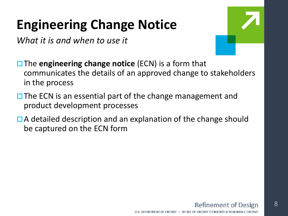### **Engineering Change Notice**

*What it is and when to use it*



**□ The engineering change notice (ECN)** is a form that communicates the details of an approved change to stakeholders in the process

- $\Box$  The ECN is an essential part of the change management and product development processes
- $\Box$  A detailed description and an explanation of the change should be captured on the ECN form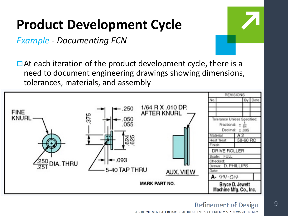*Example - Documenting ECN*

 $\Box$  At each iteration of the product development cycle, there is a need to document engineering drawings showing dimensions, tolerances, materials, and assembly



9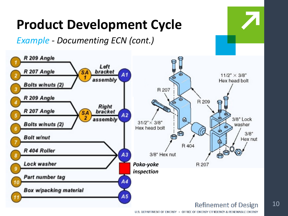

U.S. DEPARTMENT OF ENERGY . OFFICE OF ENERGY EFFICIENCY & RENEWABLE ENERGY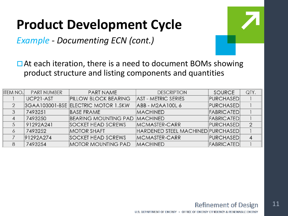*Example - Documenting ECN (cont.)*



 $\Box$  At each iteration, there is a need to document BOMs showing product structure and listing components and quantities

| <b>ITEM NO.</b> | <b>PART NUMBER</b> | <b>PART NAME</b>                     | <b>DESCRIPTION</b>                       | <b>SOURCE</b>     | QTY.           |
|-----------------|--------------------|--------------------------------------|------------------------------------------|-------------------|----------------|
|                 | UCP21-AST          | <b>PILLOW BLOCK BEARING</b>          | <b>AST - METRIC SERIES</b>               | <b>PURCHASED</b>  |                |
|                 |                    | 3GAA103001-BSE ELECTRIC MOTOR 1.5KW  | ABB - M2AA100L 6                         | <b>PURCHASED</b>  |                |
|                 | 7493251            | <b>BASE FRAME</b>                    | <b>MACHINED</b>                          | <b>FABRICATED</b> |                |
|                 | 7493250            | <b>BEARING MOUNTING PAD MACHINED</b> |                                          | <b>FABRICATED</b> |                |
|                 | 91292A241          | <b>SOCKET HEAD SCREWS</b>            | MCMASTER-CARR                            | <b>PURCHASED</b>  | $\overline{2}$ |
|                 | 7493252            | <b>MOTOR SHAFT</b>                   | <b>HARDENED STEEL MACHINED PURCHASED</b> |                   |                |
|                 | 91292A274          | <b>SOCKET HEAD SCREWS</b>            | <b>MCMASTER-CARR</b>                     | <b>PURCHASED</b>  |                |
| 8               | 7493254            | <b>MOTOR MOUNTING PAD</b>            | <b>MACHINED</b>                          | <b>FABRICATED</b> |                |

11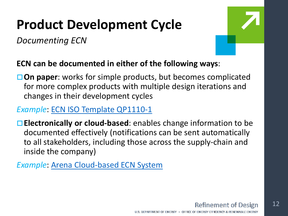*Documenting ECN*



#### **ECN can be documented in either of the following ways**:

**On paper**: works for simple products, but becomes complicated for more complex products with multiple design iterations and changes in their development cycles

#### *Example*: [ECN ISO Template QP1110-1](https://www.bizmanualz.com/quality-manual/iso-9001/engineering-change-notice-iso-template)

**Electronically or cloud-based**: enables change information to be documented effectively (notifications can be sent automatically to all stakeholders, including those across the supply-chain and inside the company)

*Example*: [Arena Cloud-based ECN System](http://www.arenasolutions.com/products/plm/features/change-management/)

U.S. DEPARTMENT OF ENERGY . OFFICE OF ENERGY EFFICIENCY & RENEWABLE ENERGY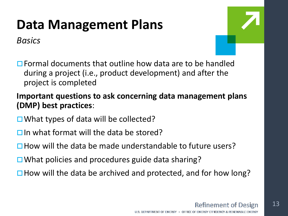### **Data Management Plans**

*Basics*



**□ Formal documents that outline how data are to be handled** during a project (i.e., product development) and after the project is completed

#### **Important questions to ask concerning data management plans (DMP) best practices**:

- $\Box$  What types of data will be collected?
- $\Box$  In what format will the data be stored?
- $\Box$  How will the data be made understandable to future users?
- $\Box$  What policies and procedures guide data sharing?
- $\Box$  How will the data be archived and protected, and for how long?

#### **Refinement of Design**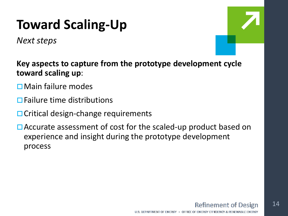### **Toward Scaling-Up**

*Next steps*



**Key aspects to capture from the prototype development cycle toward scaling up**:

- Main failure modes
- $\Box$  Failure time distributions
- $\Box$  Critical design-change requirements
- □ Accurate assessment of cost for the scaled-up product based on experience and insight during the prototype development process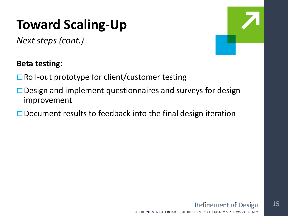### **Toward Scaling-Up**

*Next steps (cont.)*

#### **Beta testing**:

- $\Box$  Roll-out prototype for client/customer testing
- $\Box$  Design and implement questionnaires and surveys for design improvement
- $\square$  Document results to feedback into the final design iteration